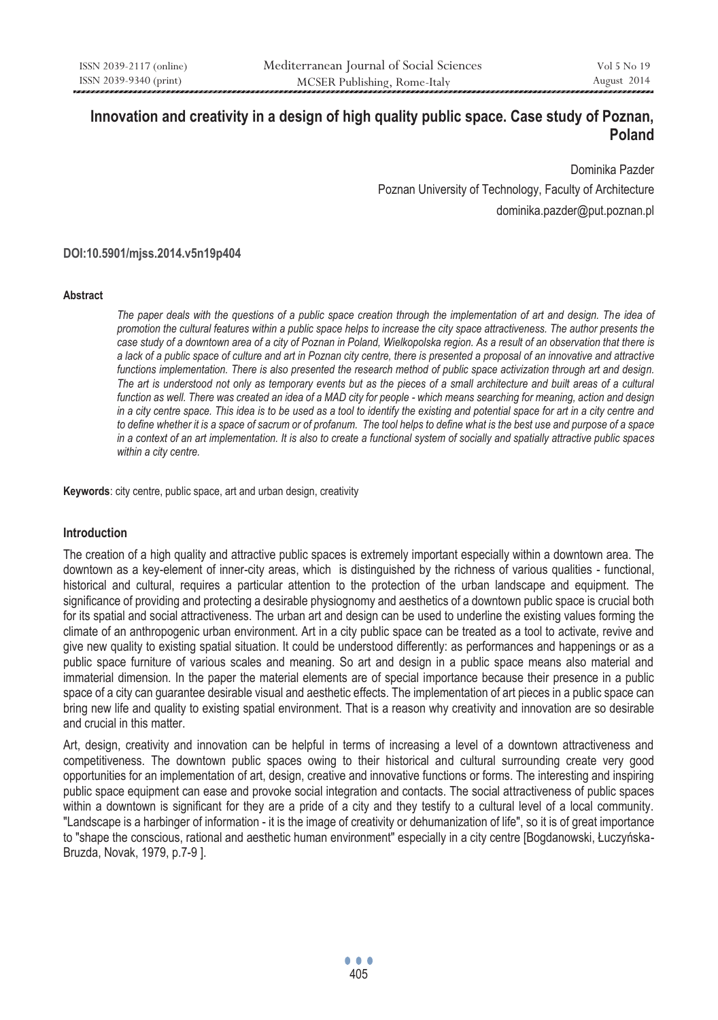# **Innovation and creativity in a design of high quality public space. Case study of Poznan, Poland**

Dominika Pazder Poznan University of Technology, Faculty of Architecture dominika.pazder@put.poznan.pl

#### **DOI:10.5901/mjss.2014.v5n19p404**

#### **Abstract**

*The paper deals with the questions of a public space creation through the implementation of art and design. The idea of promotion the cultural features within a public space helps to increase the city space attractiveness. The author presents the case study of a downtown area of a city of Poznan in Poland, Wielkopolska region. As a result of an observation that there is a lack of a public space of culture and art in Poznan city centre, there is presented a proposal of an innovative and attractive functions implementation. There is also presented the research method of public space activization through art and design. The art is understood not only as temporary events but as the pieces of a small architecture and built areas of a cultural function as well. There was created an idea of a MAD city for people - which means searching for meaning, action and design in a city centre space. This idea is to be used as a tool to identify the existing and potential space for art in a city centre and to define whether it is a space of sacrum or of profanum. The tool helps to define what is the best use and purpose of a space in a context of an art implementation. It is also to create a functional system of socially and spatially attractive public spaces within a city centre.* 

**Keywords**: city centre, public space, art and urban design, creativity

#### **Introduction**

The creation of a high quality and attractive public spaces is extremely important especially within a downtown area. The downtown as a key-element of inner-city areas, which is distinguished by the richness of various qualities - functional, historical and cultural, requires a particular attention to the protection of the urban landscape and equipment. The significance of providing and protecting a desirable physiognomy and aesthetics of a downtown public space is crucial both for its spatial and social attractiveness. The urban art and design can be used to underline the existing values forming the climate of an anthropogenic urban environment. Art in a city public space can be treated as a tool to activate, revive and give new quality to existing spatial situation. It could be understood differently: as performances and happenings or as a public space furniture of various scales and meaning. So art and design in a public space means also material and immaterial dimension. In the paper the material elements are of special importance because their presence in a public space of a city can guarantee desirable visual and aesthetic effects. The implementation of art pieces in a public space can bring new life and quality to existing spatial environment. That is a reason why creativity and innovation are so desirable and crucial in this matter.

Art, design, creativity and innovation can be helpful in terms of increasing a level of a downtown attractiveness and competitiveness. The downtown public spaces owing to their historical and cultural surrounding create very good opportunities for an implementation of art, design, creative and innovative functions or forms. The interesting and inspiring public space equipment can ease and provoke social integration and contacts. The social attractiveness of public spaces within a downtown is significant for they are a pride of a city and they testify to a cultural level of a local community. "Landscape is a harbinger of information - it is the image of creativity or dehumanization of life", so it is of great importance to "shape the conscious, rational and aesthetic human environment" especially in a city centre [Bogdanowski, Łuczyńska-Bruzda, Novak, 1979, p.7-9 ].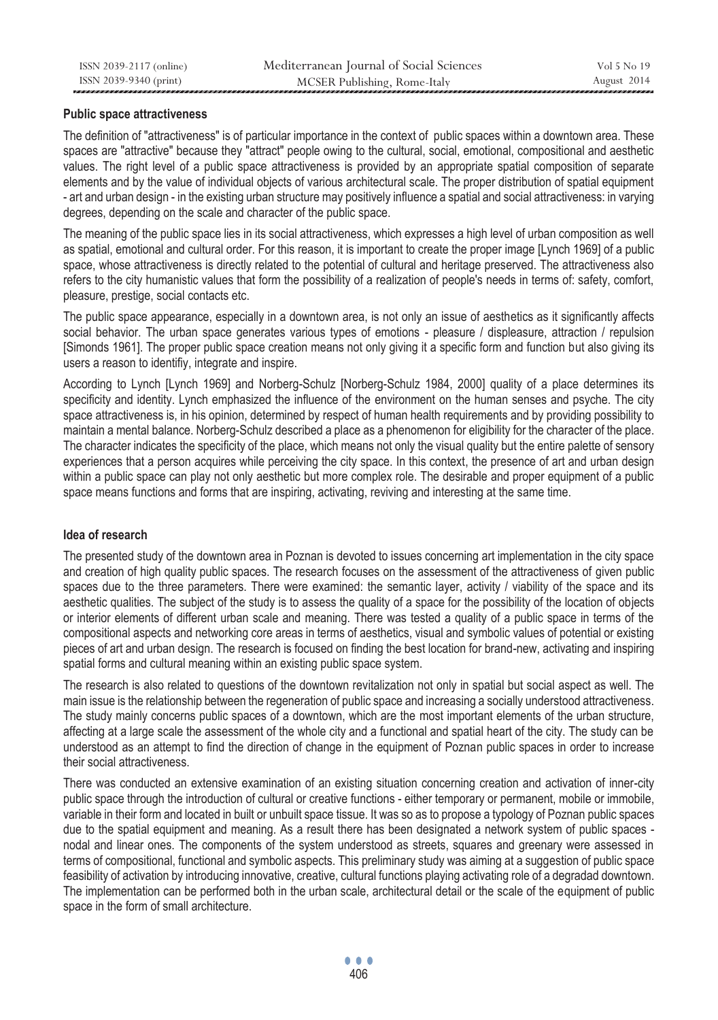### **Public space attractiveness**

The definition of "attractiveness" is of particular importance in the context of public spaces within a downtown area. These spaces are "attractive" because they "attract" people owing to the cultural, social, emotional, compositional and aesthetic values. The right level of a public space attractiveness is provided by an appropriate spatial composition of separate elements and by the value of individual objects of various architectural scale. The proper distribution of spatial equipment - art and urban design - in the existing urban structure may positively influence a spatial and social attractiveness: in varying degrees, depending on the scale and character of the public space.

The meaning of the public space lies in its social attractiveness, which expresses a high level of urban composition as well as spatial, emotional and cultural order. For this reason, it is important to create the proper image [Lynch 1969] of a public space, whose attractiveness is directly related to the potential of cultural and heritage preserved. The attractiveness also refers to the city humanistic values that form the possibility of a realization of people's needs in terms of: safety, comfort, pleasure, prestige, social contacts etc.

The public space appearance, especially in a downtown area, is not only an issue of aesthetics as it significantly affects social behavior. The urban space generates various types of emotions - pleasure / displeasure, attraction / repulsion [Simonds 1961]. The proper public space creation means not only giving it a specific form and function but also giving its users a reason to identifiy, integrate and inspire.

According to Lynch [Lynch 1969] and Norberg-Schulz [Norberg-Schulz 1984, 2000] quality of a place determines its specificity and identity. Lynch emphasized the influence of the environment on the human senses and psyche. The city space attractiveness is, in his opinion, determined by respect of human health requirements and by providing possibility to maintain a mental balance. Norberg-Schulz described a place as a phenomenon for eligibility for the character of the place. The character indicates the specificity of the place, which means not only the visual quality but the entire palette of sensory experiences that a person acquires while perceiving the city space. In this context, the presence of art and urban design within a public space can play not only aesthetic but more complex role. The desirable and proper equipment of a public space means functions and forms that are inspiring, activating, reviving and interesting at the same time.

## **Idea of research**

The presented study of the downtown area in Poznan is devoted to issues concerning art implementation in the city space and creation of high quality public spaces. The research focuses on the assessment of the attractiveness of given public spaces due to the three parameters. There were examined: the semantic layer, activity / viability of the space and its aesthetic qualities. The subject of the study is to assess the quality of a space for the possibility of the location of objects or interior elements of different urban scale and meaning. There was tested a quality of a public space in terms of the compositional aspects and networking core areas in terms of aesthetics, visual and symbolic values of potential or existing pieces of art and urban design. The research is focused on finding the best location for brand-new, activating and inspiring spatial forms and cultural meaning within an existing public space system.

The research is also related to questions of the downtown revitalization not only in spatial but social aspect as well. The main issue is the relationship between the regeneration of public space and increasing a socially understood attractiveness. The study mainly concerns public spaces of a downtown, which are the most important elements of the urban structure, affecting at a large scale the assessment of the whole city and a functional and spatial heart of the city. The study can be understood as an attempt to find the direction of change in the equipment of Poznan public spaces in order to increase their social attractiveness.

There was conducted an extensive examination of an existing situation concerning creation and activation of inner-city public space through the introduction of cultural or creative functions - either temporary or permanent, mobile or immobile, variable in their form and located in built or unbuilt space tissue. It was so as to propose a typology of Poznan public spaces due to the spatial equipment and meaning. As a result there has been designated a network system of public spaces nodal and linear ones. The components of the system understood as streets, squares and greenary were assessed in terms of compositional, functional and symbolic aspects. This preliminary study was aiming at a suggestion of public space feasibility of activation by introducing innovative, creative, cultural functions playing activating role of a degradad downtown. The implementation can be performed both in the urban scale, architectural detail or the scale of the equipment of public space in the form of small architecture.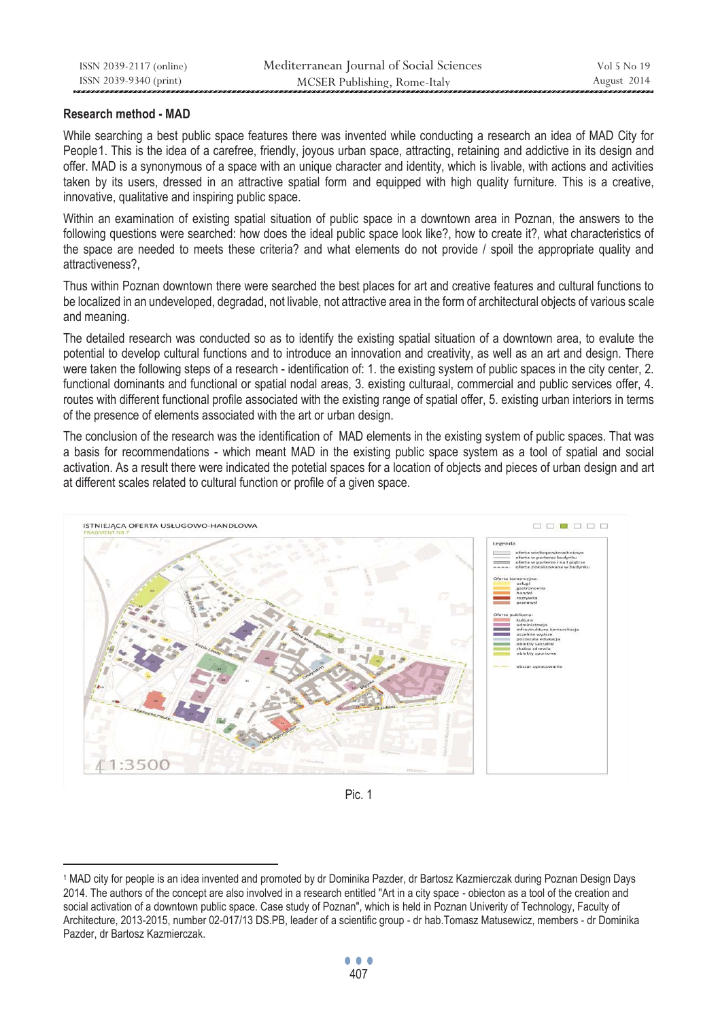## **Research method - MAD**

 $\overline{a}$ 

While searching a best public space features there was invented while conducting a research an idea of MAD City for People1. This is the idea of a carefree, friendly, joyous urban space, attracting, retaining and addictive in its design and offer. MAD is a synonymous of a space with an unique character and identity, which is livable, with actions and activities taken by its users, dressed in an attractive spatial form and equipped with high quality furniture. This is a creative, innovative, qualitative and inspiring public space.

Within an examination of existing spatial situation of public space in a downtown area in Poznan, the answers to the following questions were searched: how does the ideal public space look like?, how to create it?, what characteristics of the space are needed to meets these criteria? and what elements do not provide / spoil the appropriate quality and attractiveness?,

Thus within Poznan downtown there were searched the best places for art and creative features and cultural functions to be localized in an undeveloped, degradad, not livable, not attractive area in the form of architectural objects of various scale and meaning.

The detailed research was conducted so as to identify the existing spatial situation of a downtown area, to evalute the potential to develop cultural functions and to introduce an innovation and creativity, as well as an art and design. There were taken the following steps of a research - identification of: 1. the existing system of public spaces in the city center, 2. functional dominants and functional or spatial nodal areas, 3. existing culturaal, commercial and public services offer, 4. routes with different functional profile associated with the existing range of spatial offer, 5. existing urban interiors in terms of the presence of elements associated with the art or urban design.

The conclusion of the research was the identification of MAD elements in the existing system of public spaces. That was a basis for recommendations - which meant MAD in the existing public space system as a tool of spatial and social activation. As a result there were indicated the potetial spaces for a location of objects and pieces of urban design and art at different scales related to cultural function or profile of a given space.



Pic. 1

<sup>1</sup> MAD city for people is an idea invented and promoted by dr Dominika Pazder, dr Bartosz Kazmierczak during Poznan Design Days 2014. The authors of the concept are also involved in a research entitled "Art in a city space - obiecton as a tool of the creation and social activation of a downtown public space. Case study of Poznan", which is held in Poznan Univerity of Technology, Faculty of Architecture, 2013-2015, number 02-017/13 DS.PB, leader of a scientific group - dr hab.Tomasz Matusewicz, members - dr Dominika Pazder, dr Bartosz Kazmierczak.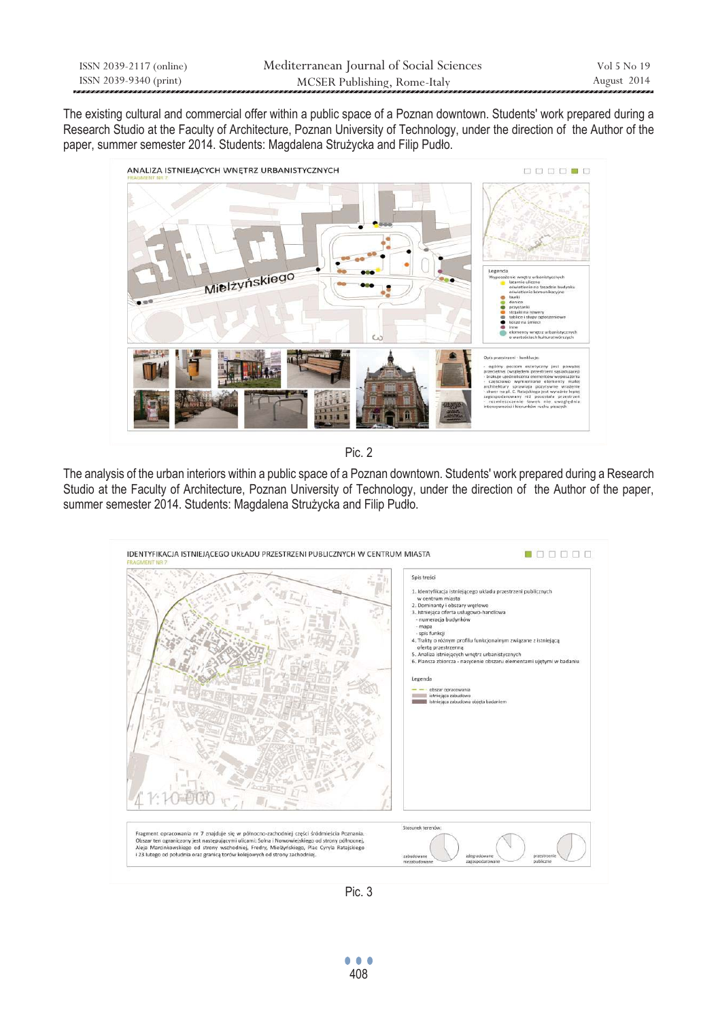The existing cultural and commercial offer within a public space of a Poznan downtown. Students' work prepared during a Research Studio at the Faculty of Architecture, Poznan University of Technology, under the direction of the Author of the paper, summer semester 2014. Students: Magdalena Strużycka and Filip Pudło.



Pic. 2

The analysis of the urban interiors within a public space of a Poznan downtown. Students' work prepared during a Research Studio at the Faculty of Architecture, Poznan University of Technology, under the direction of the Author of the paper, summer semester 2014. Students: Magdalena Strużycka and Filip Pudło.



Pic. 3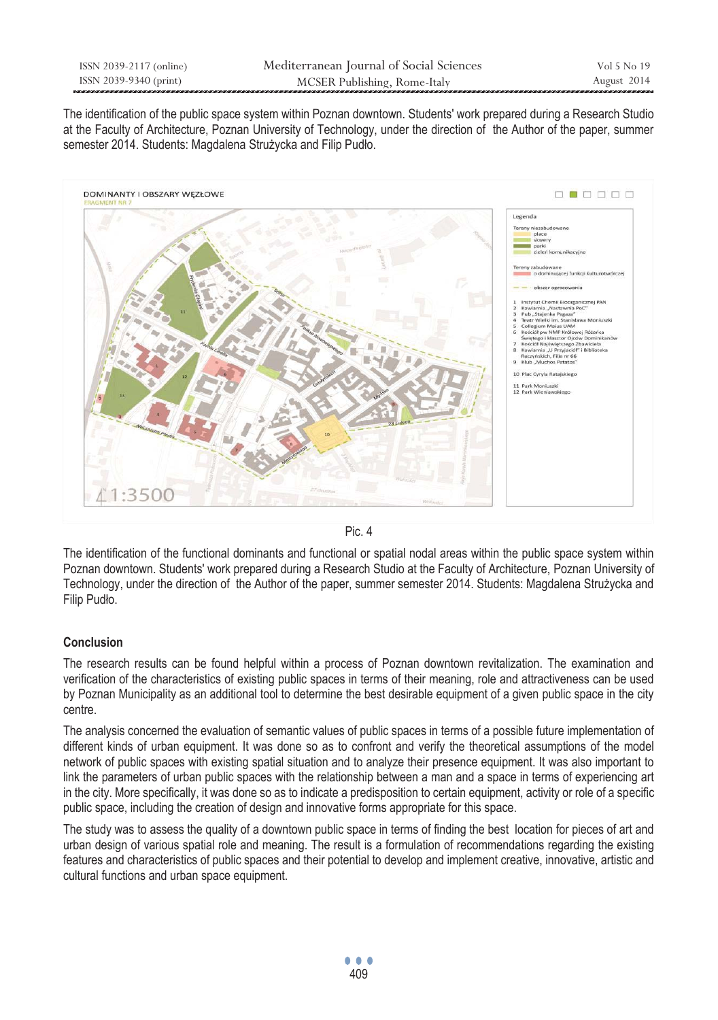The identification of the public space system within Poznan downtown. Students' work prepared during a Research Studio at the Faculty of Architecture, Poznan University of Technology, under the direction of the Author of the paper, summer semester 2014. Students: Magdalena Strużycka and Filip Pudło.



Pic. 4

The identification of the functional dominants and functional or spatial nodal areas within the public space system within Poznan downtown. Students' work prepared during a Research Studio at the Faculty of Architecture, Poznan University of Technology, under the direction of the Author of the paper, summer semester 2014. Students: Magdalena Strużycka and Filip Pudło.

# **Conclusion**

The research results can be found helpful within a process of Poznan downtown revitalization. The examination and verification of the characteristics of existing public spaces in terms of their meaning, role and attractiveness can be used by Poznan Municipality as an additional tool to determine the best desirable equipment of a given public space in the city centre.

The analysis concerned the evaluation of semantic values of public spaces in terms of a possible future implementation of different kinds of urban equipment. It was done so as to confront and verify the theoretical assumptions of the model network of public spaces with existing spatial situation and to analyze their presence equipment. It was also important to link the parameters of urban public spaces with the relationship between a man and a space in terms of experiencing art in the city. More specifically, it was done so as to indicate a predisposition to certain equipment, activity or role of a specific public space, including the creation of design and innovative forms appropriate for this space.

The study was to assess the quality of a downtown public space in terms of finding the best location for pieces of art and urban design of various spatial role and meaning. The result is a formulation of recommendations regarding the existing features and characteristics of public spaces and their potential to develop and implement creative, innovative, artistic and cultural functions and urban space equipment.